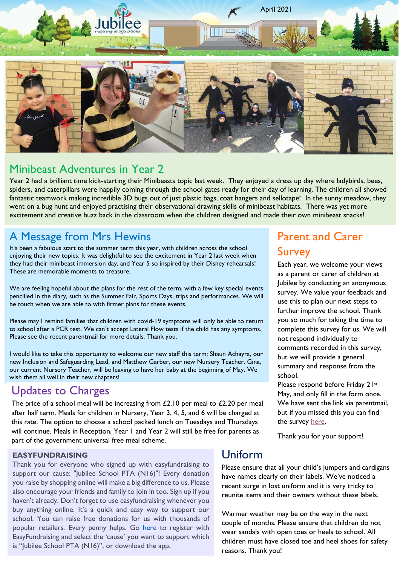

## Minibeast Adventures in Year 2

Year 2 had a brilliant time kick-starting their Minibeasts topic last week. They enjoyed a dress up day where ladybirds, bees, spiders, and caterpillars were happily coming through the school gates ready for their day of learning. The children all showed fantastic teamwork making incredible 3D bugs out of just plastic bags, coat hangers and sellotape! In the sunny meadow, they went on a bug hunt and enjoyed practising their observational drawing skills of minibeast habitats. There was yet more excitement and creative buzz back in the classroom when the children designed and made their own minibeast snacks!

# A Message from Mrs Hewins

It's been a fabulous start to the summer term this year, with children across the school enjoying their new topics. It was delightful to see the excitement in Year 2 last week when they had their minibeast immersion day, and Year 5 so inspired by their Disney rehearsals! These are memorable moments to treasure.

We are feeling hopeful about the plans for the rest of the term, with a few key special events pencilled in the diary, such as the Summer Fair, Sports Days, trips and performances. We will be touch when we are able to with firmer plans for these events.

Please may I remind families that children with covid-19 symptoms will only be able to return to school after a PCR test. We can't accept Lateral Flow tests if the child has any symptoms. Please see the recent parentmail for more details. Thank you.

I would like to take this opportunity to welcome our new staff this term: Shaun Achayra, our new Inclusion and Safeguarding Lead, and Matthew Garber, our new Nursery Teacher. Gina, our current Nursery Teacher, will be leaving to have her baby at the beginning of May. We wish them all well in their new chapters!

# Updates to Charges

The price of a school meal will be increasing from  $£2.10$  per meal to  $£2.20$  per meal after half term. Meals for children in Nursery, Year 3, 4, 5, and 6 will be charged at this rate. The option to choose a school packed lunch on Tuesdays and Thursdays will continue. Meals in Reception, Year 1 and Year 2 will still be free for parents as part of the government universal free meal scheme.

#### **EASYFUNDRAISING**

Thank you for everyone who signed up with easyfundraising to support our cause: "Jubilee School PTA (N16)"! Every donation you raise by shopping online will make a big difference to us. Please also encourage your friends and family to join in too. Sign up if you haven't already. Don't forget to use easyfundraising whenever you buy anything online. It's a quick and easy way to support our school. You can raise free donations for us with thousands of popular retailers. Every penny helps. Go [here](https://www.easyfundraising.org.uk/causes/fojps/) to register with EasyFundraising and select the 'cause' you want to support which is "Jubilee School PTA (N16)", or download the app.

# Parent and Carer Survey

Each year, we welcome your views as a parent or carer of children at Jubilee by conducting an anonymous survey. We value your feedback and use this to plan our next steps to further improve the school. Thank you so much for taking the time to complete this survey for us. We will not respond individually to comments recorded in this survey, but we will provide a general summary and response from the school.

Please respond before Friday 21st May, and only fill in the form once. We have sent the link via parentmail, but if you missed this you can find the survey [here.](https://forms.gle/1NyQfHh6ZAF9u64Q9)

Thank you for your support!

### Uniform

Please ensure that all your child's jumpers and cardigans have names clearly on their labels. We've noticed a recent surge in lost uniform and it is very tricky to reunite items and their owners without these labels.

Warmer weather may be on the way in the next couple of months. Please ensure that children do not wear sandals with open toes or heels to school. All children must have closed toe and heel shoes for safety reasons. Thank you!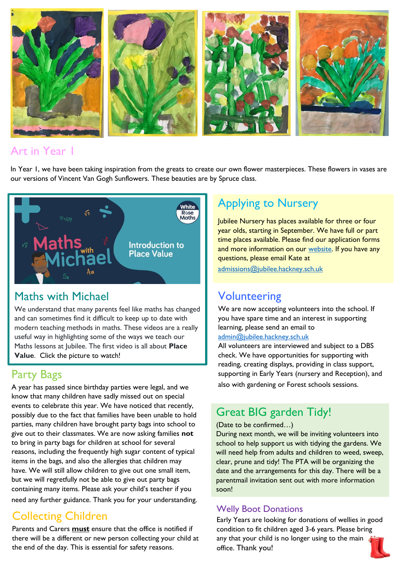

## Art in Year 1

In Year I, we have been taking inspiration from the greats to create our own flower masterpieces. These flowers in vases are our versions of Vincent Van Gogh Sunflowers. These beauties are by Spruce class.



# Maths with Michael

We understand that many parents feel like maths has changed and can sometimes find it difficult to keep up to date with modern teaching methods in maths. These videos are a really useful way in highlighting some of the ways we teach our Maths lessons at Jubilee. The first video is all about **Place Value**. Click the picture to watch!

# Party Bags

A year has passed since birthday parties were legal, and we know that many children have sadly missed out on special events to celebrate this year. We have noticed that recently, possibly due to the fact that families have been unable to hold parties, many children have brought party bags into school to give out to their classmates. We are now asking families **not** to bring in party bags for children at school for several reasons, including the frequently high sugar content of typical items in the bags, and also the allergies that children may have. We will still allow children to give out one small item, but we will regretfully not be able to give out party bags containing many items. Please ask your child's teacher if you need any further guidance. Thank you for your understanding.

# Collecting Children

Parents and Carers **must** ensure that the office is notified if there will be a different or new person collecting your child at the end of the day. This is essential for safety reasons.

# Applying to Nursery

Jubilee Nursery has places available for three or four year olds, starting in September. We have full or part time places available. Please find our application forms and more information on our [website.](https://www.jubilee.hackney.sch.uk/parents-guide/admissions/nursery-admissions/) If you have any questions, please email Kate at

[admissions@jubilee.hackney.sch.uk](mailto:admissions@jubilee.hackney.sch.uk)

# **Volunteering**

We are now accepting volunteers into the school. If you have spare time and an interest in supporting learning, please send an email to

### [admin@jubilee.hackney.sch.uk](mailto:admin@jubilee.hackney.sch.uk)

All volunteers are interviewed and subject to a DBS check. We have opportunities for supporting with reading, creating displays, providing in class support, supporting in Early Years (nursery and Reception), and also with gardening or Forest schools sessions.

# Great BIG garden Tidy!

#### (Date to be confirmed…)

During next month, we will be inviting volunteers into school to help support us with tidying the gardens. We will need help from adults and children to weed, sweep, clear, prune and tidy! The PTA will be organizing the date and the arrangements for this day. There will be a parentmail invitation sent out with more information soon!

### Welly Boot Donations

Early Years are looking for donations of wellies in good condition to fit children aged 3-6 years. Please bring any that your child is no longer using to the main office. Thank you!